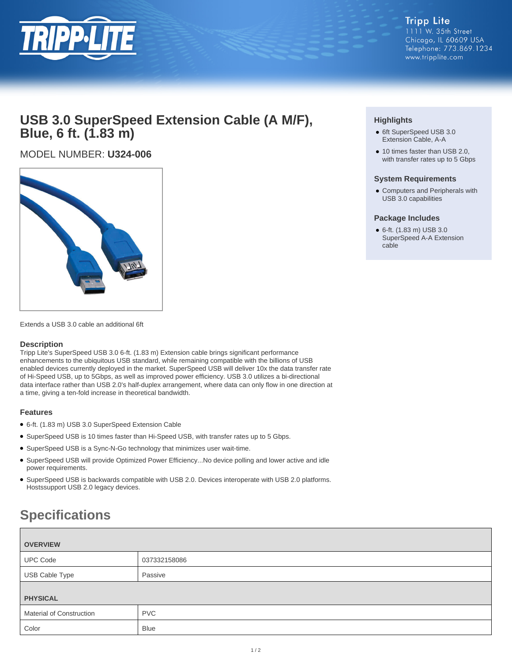

## **USB 3.0 SuperSpeed Extension Cable (A M/F), Blue, 6 ft. (1.83 m)**

MODEL NUMBER: **U324-006**



Extends a USB 3.0 cable an additional 6ft

### **Description**

Tripp Lite's SuperSpeed USB 3.0 6-ft. (1.83 m) Extension cable brings significant performance enhancements to the ubiquitous USB standard, while remaining compatible with the billions of USB enabled devices currently deployed in the market. SuperSpeed USB will deliver 10x the data transfer rate of Hi-Speed USB, up to 5Gbps, as well as improved power efficiency. USB 3.0 utilizes a bi-directional data interface rather than USB 2.0's half-duplex arrangement, where data can only flow in one direction at a time, giving a ten-fold increase in theoretical bandwidth.

### **Features**

- 6-ft. (1.83 m) USB 3.0 SuperSpeed Extension Cable
- SuperSpeed USB is 10 times faster than Hi-Speed USB, with transfer rates up to 5 Gbps.
- SuperSpeed USB is a Sync-N-Go technology that minimizes user wait-time.
- SuperSpeed USB will provide Optimized Power Efficiency...No device polling and lower active and idle power requirements.
- SuperSpeed USB is backwards compatible with USB 2.0. Devices interoperate with USB 2.0 platforms. Hostssupport USB 2.0 legacy devices.

# **Specifications**

| <b>OVERVIEW</b>                 |              |
|---------------------------------|--------------|
| <b>UPC Code</b>                 | 037332158086 |
| USB Cable Type                  | Passive      |
| <b>PHYSICAL</b>                 |              |
| <b>Material of Construction</b> | <b>PVC</b>   |
| Color                           | <b>Blue</b>  |

### **Highlights**

- 6ft SuperSpeed USB 3.0 Extension Cable, A-A
- 10 times faster than USB 2.0, with transfer rates up to 5 Gbps

### **System Requirements**

● Computers and Peripherals with USB 3.0 capabilities

### **Package Includes**

● 6-ft. (1.83 m) USB 3.0 SuperSpeed A-A Extension cable